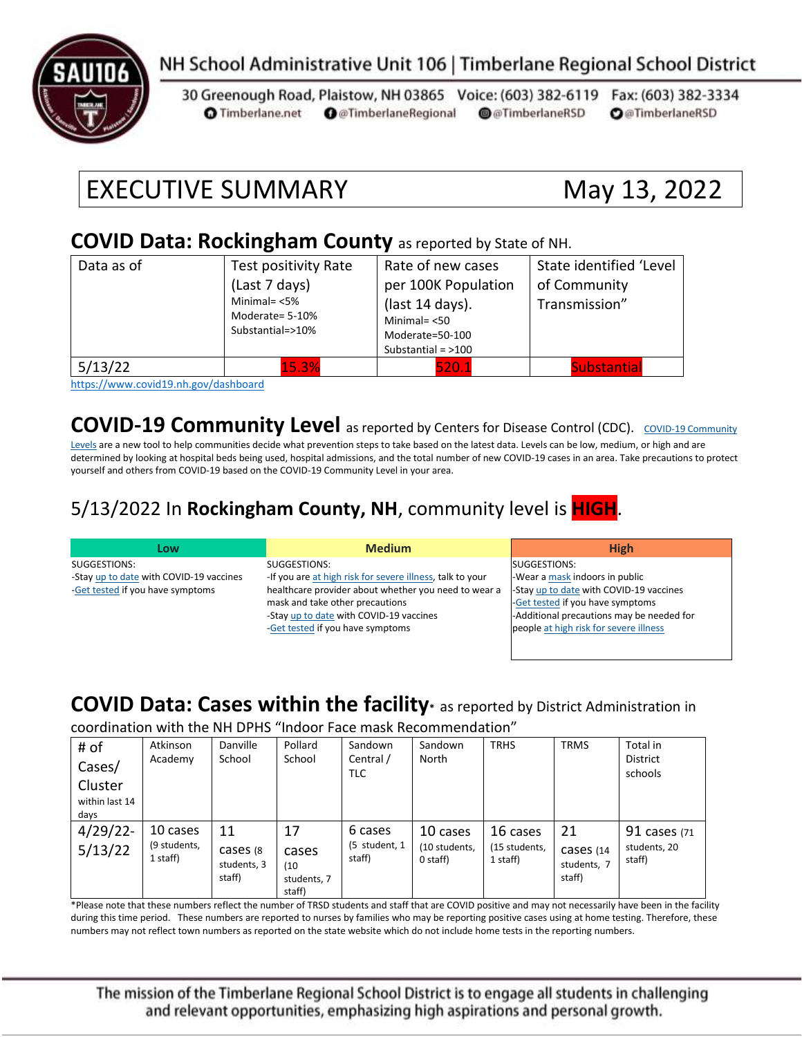

### NH School Administrative Unit 106 | Timberlane Regional School District

30 Greenough Road, Plaistow, NH 03865 Voice: (603) 382-6119 Fax: (603) 382-3334 **O** @TimberlaneRegional @@TimberlaneRSD **O**@TimberlaneRSD **O** Timberlane.net

# EXECUTIVE SUMMARY May 13, 2022

#### **COVID Data: Rockingham County** as reported by State of NH.

| Data as of | Test positivity Rate<br>(Last 7 days)<br>Minimal= $<$ 5%<br>Moderate= 5-10%<br>Substantial=>10% | Rate of new cases<br>per 100K Population<br>(last 14 days).<br>Minimal $=$ <50<br>Moderate=50-100<br>Substantial = $>100$ | State identified 'Level<br>of Community<br>Transmission" |
|------------|-------------------------------------------------------------------------------------------------|---------------------------------------------------------------------------------------------------------------------------|----------------------------------------------------------|
| 5/13/22    | 15.3%<br>.                                                                                      | 520.1                                                                                                                     | <b>Substantial</b>                                       |

<https://www.covid19.nh.gov/dashboard>

**[COVID-19 Community](https://www.cdc.gov/coronavirus/2019-ncov/science/community-levels.html) Level** as reported by Centers for Disease Control (CDC). COVID-19 Community

[Levels](https://www.cdc.gov/coronavirus/2019-ncov/science/community-levels.html) are a new tool to help communities decide what prevention steps to take based on the latest data. Levels can be low, medium, or high and are determined by looking at hospital beds being used, hospital admissions, and the total number of new COVID-19 cases in an area. Take precautions to protect yourself and others from COVID-19 based on the COVID-19 Community Level in your area.

#### 5/13/2022 In **Rockingham County, NH**, community level is **HIGH**.

| Low                                     | <b>Medium</b>                                             | <b>High</b>                               |
|-----------------------------------------|-----------------------------------------------------------|-------------------------------------------|
| SUGGESTIONS:                            | SUGGESTIONS:                                              | SUGGESTIONS:                              |
| -Stay up to date with COVID-19 vaccines | -If you are at high risk for severe illness, talk to your | -Wear a mask indoors in public            |
| -Get tested if you have symptoms        | healthcare provider about whether you need to wear a      | -Stay up to date with COVID-19 vaccines   |
|                                         | mask and take other precautions                           | -Get tested if you have symptoms          |
|                                         | -Stay up to date with COVID-19 vaccines                   | -Additional precautions may be needed for |
|                                         | -Get tested if you have symptoms                          | people at high risk for severe illness    |
|                                         |                                                           |                                           |

#### **COVID Data: Cases within the facility\*** as reported by District Administration in

coordination with the NH DPHS "Indoor Face mask Recommendation"

| # of<br>Cases/<br>Cluster<br>within last 14<br>days | Atkinson<br>Academy                  | Danville<br>School                       | Pollard<br>School                            | Sandown<br>Central /<br>TLC        | Sandown<br>North                      | <b>TRHS</b>                           | <b>TRMS</b>                              | Total in<br><b>District</b><br>schools |
|-----------------------------------------------------|--------------------------------------|------------------------------------------|----------------------------------------------|------------------------------------|---------------------------------------|---------------------------------------|------------------------------------------|----------------------------------------|
| $4/29/22$ -<br>5/13/22                              | 10 cases<br>(9 students,<br>1 staff) | 11<br>cases (8)<br>students, 3<br>staff) | 17<br>cases<br>(10)<br>students, 7<br>staff) | 6 cases<br>(5 student, 1<br>staff) | 10 cases<br>(10 students,<br>0 staff) | 16 cases<br>(15 students,<br>1 staff) | 21<br>Cases (14<br>students, 7<br>staff) | 91 cases (71<br>students, 20<br>staff) |

\*Please note that these numbers reflect the number of TRSD students and staff that are COVID positive and may not necessarily have been in the facility during this time period. These numbers are reported to nurses by families who may be reporting positive cases using at home testing. Therefore, these numbers may not reflect town numbers as reported on the state website which do not include home tests in the reporting numbers.

The mission of the Timberlane Regional School District is to engage all students in challenging and relevant opportunities, emphasizing high aspirations and personal growth.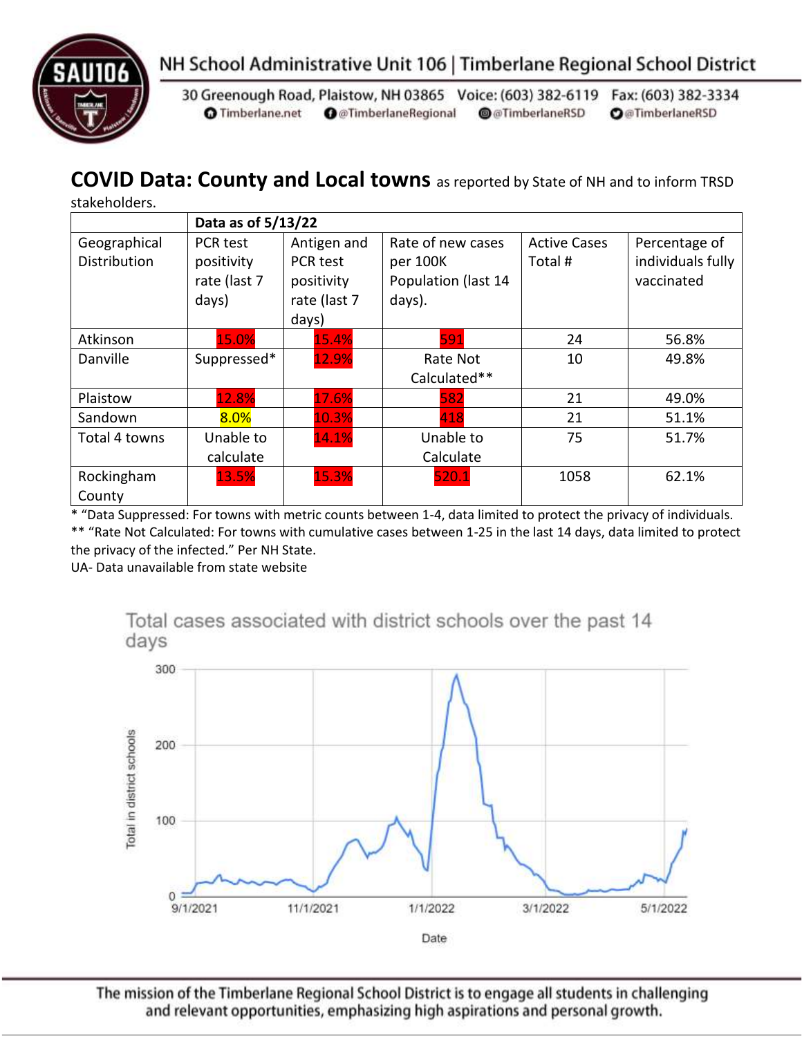



30 Greenough Road, Plaistow, NH 03865 Voice: (603) 382-6119 Fax: (603) 382-3334 **O** Timberlane.net **O** @TimberlaneRegional @@TimberlaneRSD **O**@TimberlaneRSD

#### **COVID Data: County and Local towns** as reported by State of NH and to inform TRSD

|  | stakeholders. |  |
|--|---------------|--|
|  |               |  |

|               | Data as of 5/13/22 |                 |                     |                     |                   |  |
|---------------|--------------------|-----------------|---------------------|---------------------|-------------------|--|
| Geographical  | PCR test           | Antigen and     | Rate of new cases   | <b>Active Cases</b> | Percentage of     |  |
| Distribution  | positivity         | <b>PCR</b> test | per 100K            | Total #             | individuals fully |  |
|               | rate (last 7       | positivity      | Population (last 14 |                     | vaccinated        |  |
|               | days)              | rate (last 7    | days).              |                     |                   |  |
|               |                    | days)           |                     |                     |                   |  |
| Atkinson      | 15.0%              | 15.4%           | 591                 | 24                  | 56.8%             |  |
| Danville      | Suppressed*        | 12.9%           | Rate Not            | 10                  | 49.8%             |  |
|               |                    |                 | Calculated**        |                     |                   |  |
| Plaistow      | 12.8%              | 17.6%           | 582                 | 21                  | 49.0%             |  |
| Sandown       | 8.0%               | 10.3%           | 418                 | 21                  | 51.1%             |  |
| Total 4 towns | Unable to          | 14.1%           | Unable to           | 75                  | 51.7%             |  |
|               | calculate          |                 | Calculate           |                     |                   |  |
| Rockingham    | 13.5%              | 15.3%           | 520.1               | 1058                | 62.1%             |  |
| County        |                    |                 |                     |                     |                   |  |

\* "Data Suppressed: For towns with metric counts between 1-4, data limited to protect the privacy of individuals. \*\* "Rate Not Calculated: For towns with cumulative cases between 1-25 in the last 14 days, data limited to protect the privacy of the infected." Per NH State.

UA- Data unavailable from state website

Total cases associated with district schools over the past 14 days



The mission of the Timberlane Regional School District is to engage all students in challenging and relevant opportunities, emphasizing high aspirations and personal growth.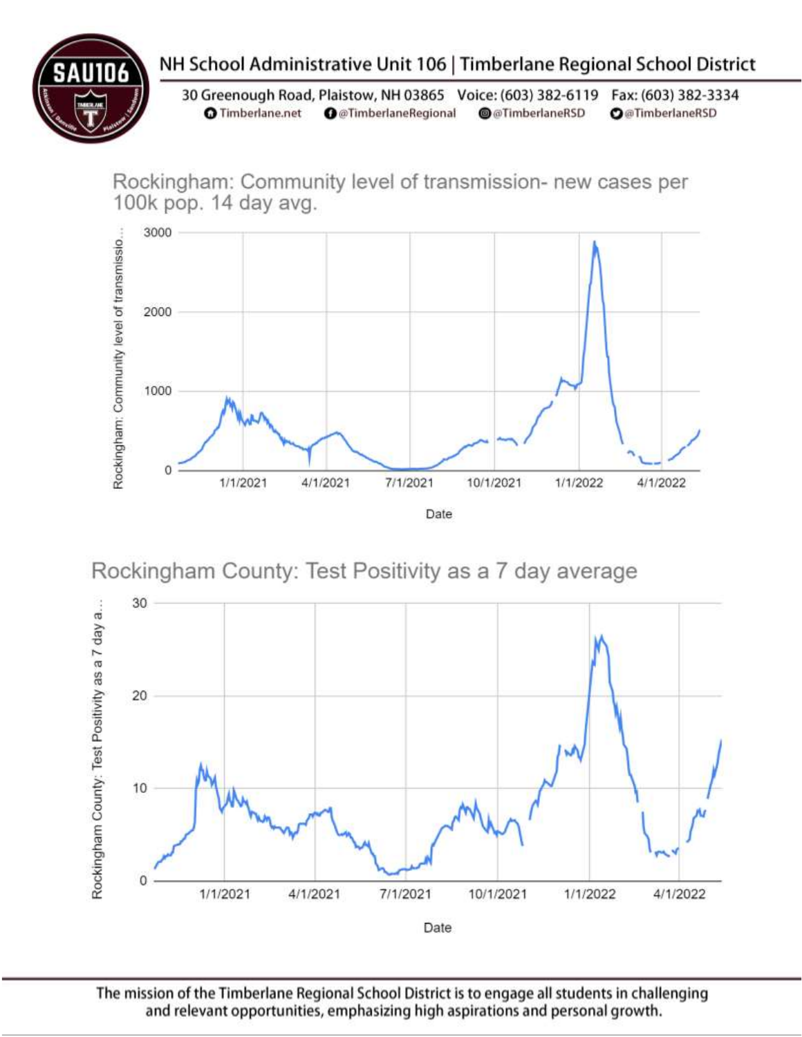## NH School Administrative Unit 106 | Timberlane Regional School District

30 Greenough Road, Plaistow, NH 03865 Voice: (603) 382-6119 Fax: (603) 382-3334 **O** Timberlane.net **O** @TimberlaneRegional @@TimberlaneRSD **O**@TimberlaneRSD

Rockingham: Community level of transmission- new cases per 100k pop. 14 day avg.



Rockingham County: Test Positivity as a 7 day average



The mission of the Timberlane Regional School District is to engage all students in challenging and relevant opportunities, emphasizing high aspirations and personal growth.